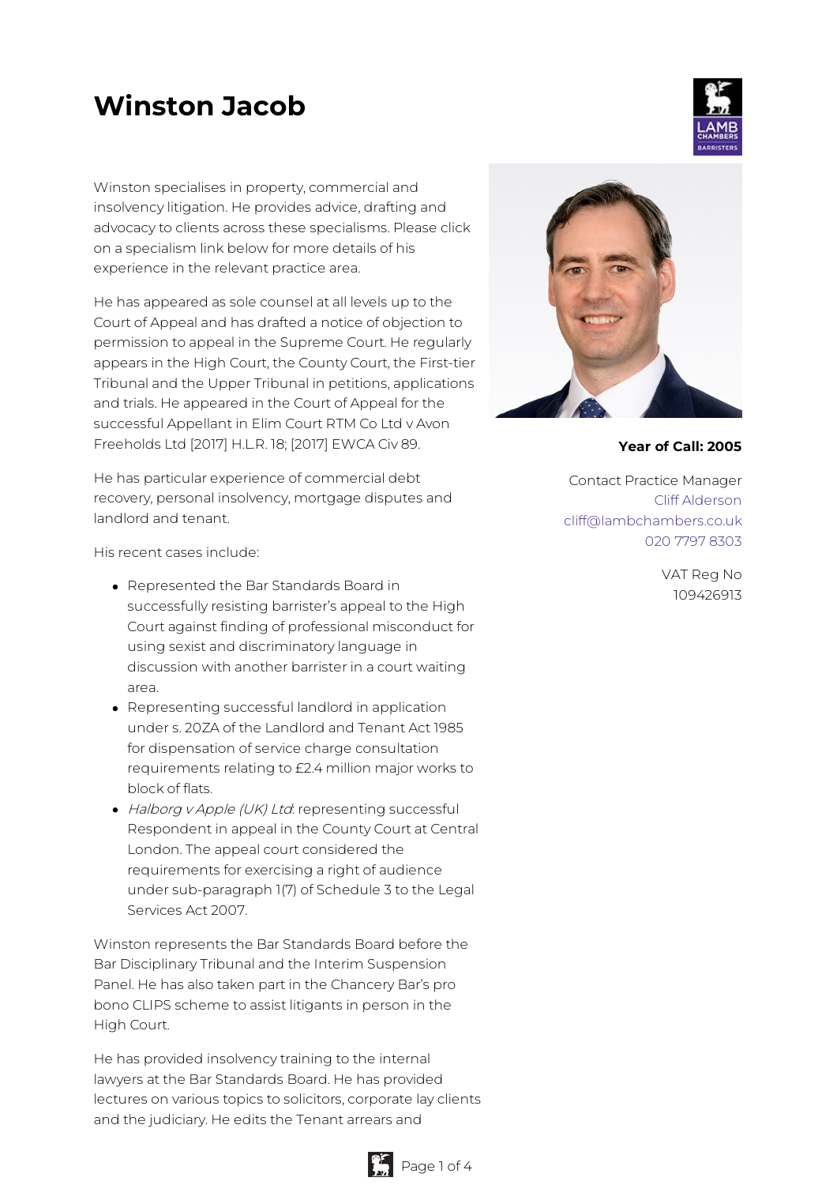# **Winston Jacob**

Winston specialises in property, commercial and insolvency litigation. He provides advice, drafting and advocacy to clients across these specialisms. Please click on a specialism link below for more details of his experience in the relevant practice area.

He has appeared as sole counsel at all levels up to the Court of Appeal and has drafted a notice of objection to permission to appeal in the Supreme Court. He regularly appears in the High Court, the County Court, the First-tier Tribunal and the Upper Tribunal in petitions, applications and trials. He appeared in the Court of Appeal for the successful Appellant in Elim Court RTM Co Ltd v Avon Freeholds Ltd [2017] H.L.R. 18; [2017] EWCA Civ 89.

He has particular experience of commercial debt recovery, personal insolvency, mortgage disputes and landlord and tenant.

His recent cases include:

- Represented the Bar Standards Board in successfully resisting barrister's appeal to the High Court against finding of professional misconduct for using sexist and discriminatory language in discussion with another barrister in a court waiting area.
- Representing successful landlord in application under s. 20ZA of the Landlord and Tenant Act 1985 for dispensation of service charge consultation requirements relating to £2.4 million major works to block of flats.
- Halborg v Apple (UK) Ltd: representing successful Respondent in appeal in the County Court at Central London. The appeal court considered the requirements for exercising a right of audience under sub-paragraph 1(7) of Schedule 3 to the Legal Services Act 2007.

Winston represents the Bar Standards Board before the Bar Disciplinary Tribunal and the Interim Suspension Panel. He has also taken part in the Chancery Bar's pro bono CLIPS scheme to assist litigants in person in the High Court.

He has provided insolvency training to the internal lawyers at the Bar Standards Board. He has provided lectures on various topics to solicitors, corporate lay clients and the judiciary. He edits the Tenant arrears and



**Year of Call: 2005**

Contact Practice Manager Cliff [Alderson](mailto:cliff@lambchambers.co.uk) [cliff@lambchambers.co.uk](mailto:cliff@lambchambers.co.uk) 020 7797 [8303](tel:020%207797%208303)

> VAT Reg No 109426913



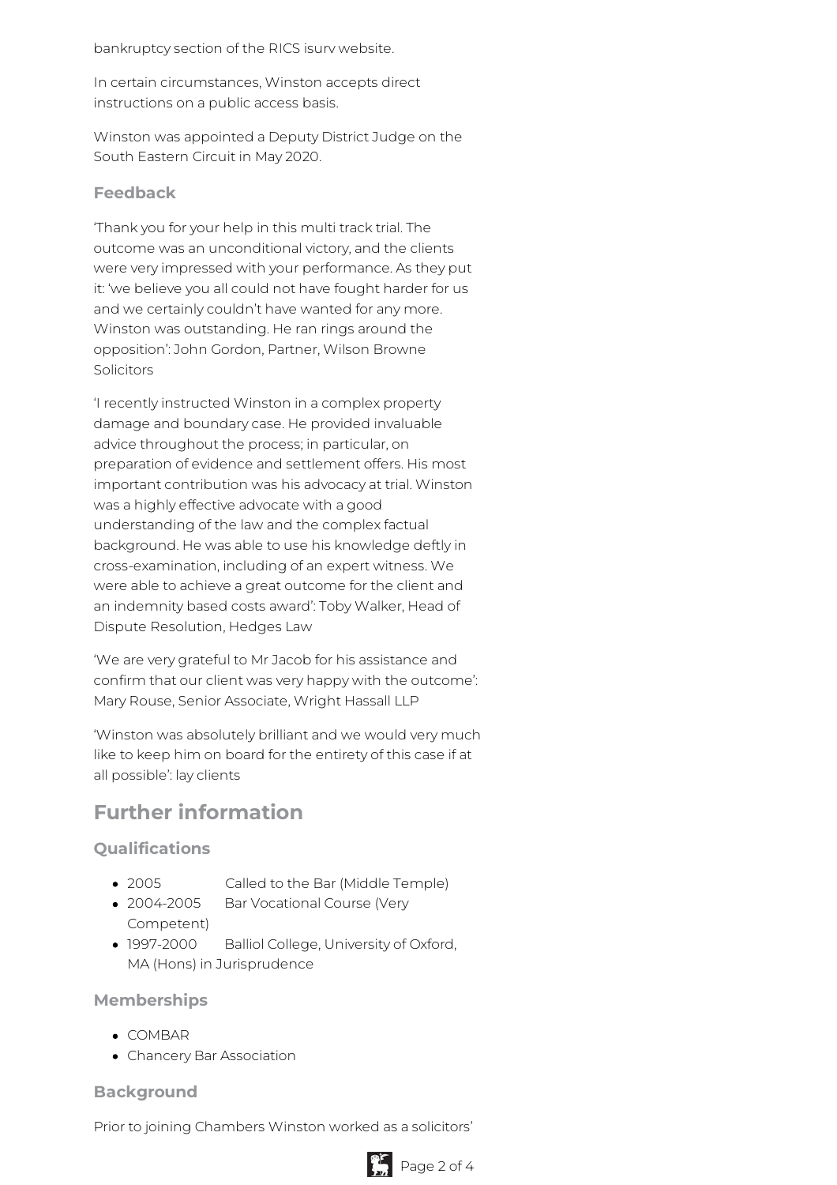bankruptcy section of the RICS isurv website.

In certain circumstances, Winston accepts direct instructions on a public access basis.

Winston was appointed a Deputy District Judge on the South Eastern Circuit in May 2020.

#### **Feedback**

'Thank you for your help in this multi track trial. The outcome was an unconditional victory, and the clients were very impressed with your performance. As they put it: 'we believe you all could not have fought harder for us and we certainly couldn't have wanted for any more. Winston was outstanding. He ran rings around the opposition': John Gordon, Partner, Wilson Browne Solicitors

'I recently instructed Winston in a complex property damage and boundary case. He provided invaluable advice throughout the process; in particular, on preparation of evidence and settlement offers. His most important contribution was his advocacy at trial. Winston was a highly effective advocate with a good understanding of the law and the complex factual background. He was able to use his knowledge deftly in cross-examination, including of an expert witness. We were able to achieve a great outcome for the client and an indemnity based costs award': Toby Walker, Head of Dispute Resolution, Hedges Law

'We are very grateful to Mr Jacob for his assistance and confirm that our client was very happy with the outcome': Mary Rouse, Senior Associate, Wright Hassall LLP

'Winston was absolutely brilliant and we would very much like to keep him on board for the entirety of this case if at all possible': lay clients

# **Further information**

# **Qualifications**

- 2005 Called to the Bar (Middle Temple)
- 2004-2005 Bar Vocational Course (Very Competent)
- 1997-2000 Balliol College, University of Oxford, MA (Hons) in Jurisprudence

#### **Memberships**

- COMBAR
- Chancery Bar Association

# **Background**

Prior to joining Chambers Winston worked as a solicitors'

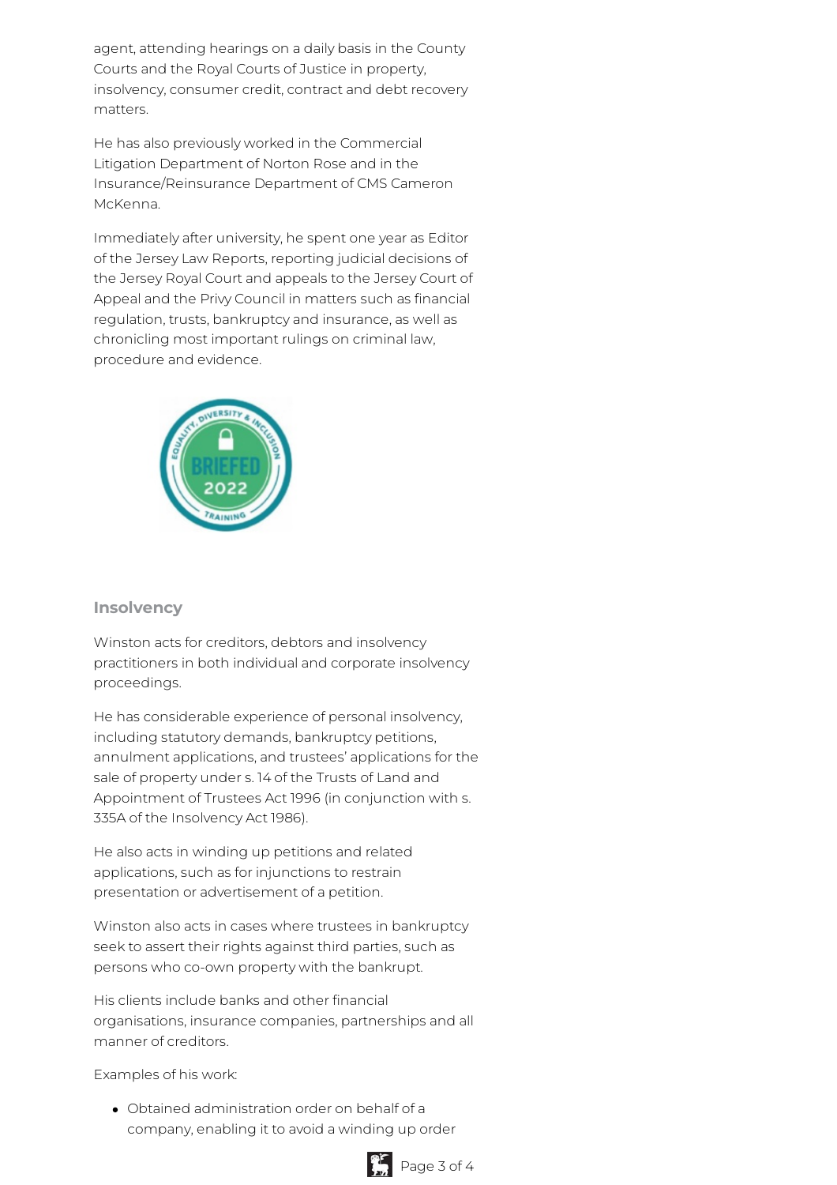agent, attending hearings on a daily basis in the County Courts and the Royal Courts of Justice in property, insolvency, consumer credit, contract and debt recovery matters.

He has also previously worked in the Commercial Litigation Department of Norton Rose and in the Insurance/Reinsurance Department of CMS Cameron McKenna.

Immediately after university, he spent one year as Editor of the Jersey Law Reports, reporting judicial decisions of the Jersey Royal Court and appeals to the Jersey Court of Appeal and the Privy Council in matters such as financial regulation, trusts, bankruptcy and insurance, as well as chronicling most important rulings on criminal law, procedure and evidence.



# **Insolvency**

Winston acts for creditors, debtors and insolvency practitioners in both individual and corporate insolvency proceedings.

He has considerable experience of personal insolvency, including statutory demands, bankruptcy petitions, annulment applications, and trustees' applications for the sale of property under s. 14 of the Trusts of Land and Appointment of Trustees Act 1996 (in conjunction with s. 335A of the Insolvency Act 1986).

He also acts in winding up petitions and related applications, such as for injunctions to restrain presentation or advertisement of a petition.

Winston also acts in cases where trustees in bankruptcy seek to assert their rights against third parties, such as persons who co-own property with the bankrupt.

His clients include banks and other financial organisations, insurance companies, partnerships and all manner of creditors.

Examples of his work:

Obtained administration order on behalf of a company, enabling it to avoid a winding up order